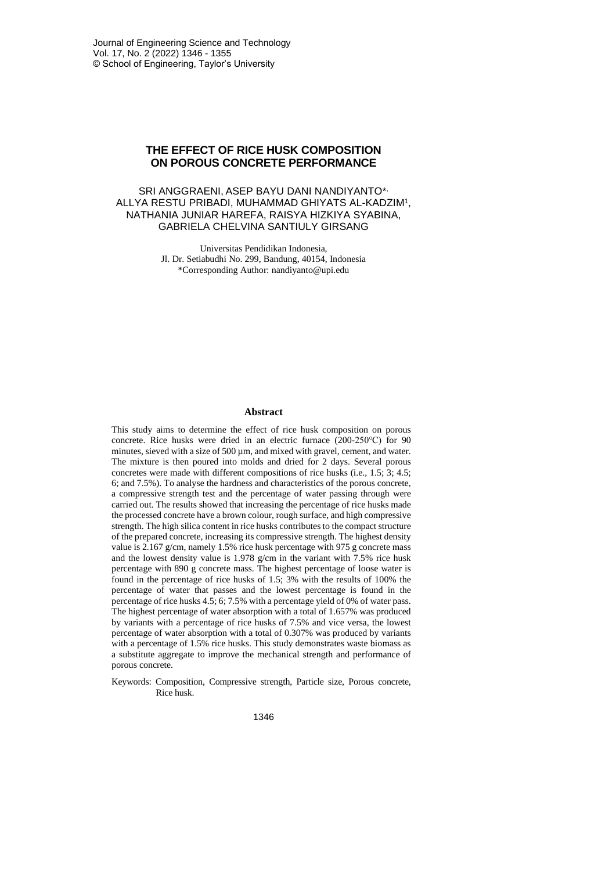### **THE EFFECT OF RICE HUSK COMPOSITION ON POROUS CONCRETE PERFORMANCE**

#### SRI ANGGRAENI, ASEP BAYU DANI NANDIYANTO\* , ALLYA RESTU PRIBADI, MUHAMMAD GHIYATS AL-KADZIM<sup>1</sup> , NATHANIA JUNIAR HAREFA, RAISYA HIZKIYA SYABINA, GABRIELA CHELVINA SANTIULY GIRSANG

Universitas Pendidikan Indonesia, Jl. Dr. Setiabudhi No. 299, Bandung, 40154, Indonesia \*Corresponding Author: nandiyanto@upi.edu

#### **Abstract**

This study aims to determine the effect of rice husk composition on porous concrete. Rice husks were dried in an electric furnace (200-250℃) for 90 minutes, sieved with a size of 500  $\mu$ m, and mixed with gravel, cement, and water. The mixture is then poured into molds and dried for 2 days. Several porous concretes were made with different compositions of rice husks (i.e., 1.5; 3; 4.5; 6; and 7.5%). To analyse the hardness and characteristics of the porous concrete, a compressive strength test and the percentage of water passing through were carried out. The results showed that increasing the percentage of rice husks made the processed concrete have a brown colour, rough surface, and high compressive strength. The high silica content in rice husks contributes to the compact structure of the prepared concrete, increasing its compressive strength. The highest density value is 2.167 g/cm, namely 1.5% rice husk percentage with 975 g concrete mass and the lowest density value is 1.978 g/cm in the variant with 7.5% rice husk percentage with 890 g concrete mass. The highest percentage of loose water is found in the percentage of rice husks of 1.5; 3% with the results of 100% the percentage of water that passes and the lowest percentage is found in the percentage of rice husks 4.5; 6; 7.5% with a percentage yield of 0% of water pass. The highest percentage of water absorption with a total of 1.657% was produced by variants with a percentage of rice husks of 7.5% and vice versa, the lowest percentage of water absorption with a total of 0.307% was produced by variants with a percentage of 1.5% rice husks. This study demonstrates waste biomass as a substitute aggregate to improve the mechanical strength and performance of porous concrete.

Keywords: Composition, Compressive strength, Particle size, Porous concrete, Rice husk.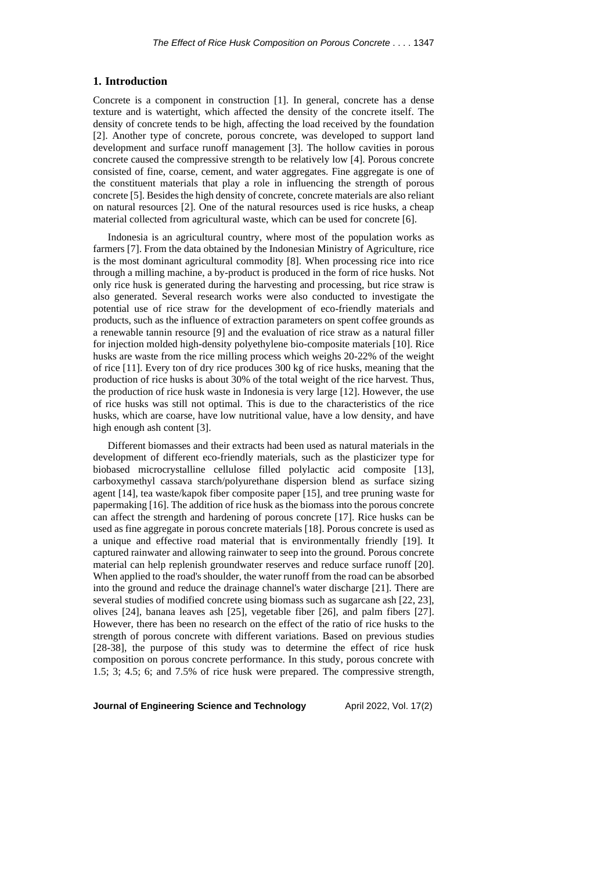#### **1. Introduction**

Concrete is a component in construction [1]. In general, concrete has a dense texture and is watertight, which affected the density of the concrete itself. The density of concrete tends to be high, affecting the load received by the foundation [2]. Another type of concrete, porous concrete, was developed to support land development and surface runoff management [3]. The hollow cavities in porous concrete caused the compressive strength to be relatively low [4]. Porous concrete consisted of fine, coarse, cement, and water aggregates. Fine aggregate is one of the constituent materials that play a role in influencing the strength of porous concrete [5]. Besides the high density of concrete, concrete materials are also reliant on natural resources [2]. One of the natural resources used is rice husks, a cheap material collected from agricultural waste, which can be used for concrete [6].

Indonesia is an agricultural country, where most of the population works as farmers [7]. From the data obtained by the Indonesian Ministry of Agriculture, rice is the most dominant agricultural commodity [8]. When processing rice into rice through a milling machine, a by-product is produced in the form of rice husks. Not only rice husk is generated during the harvesting and processing, but rice straw is also generated. Several research works were also conducted to investigate the potential use of rice straw for the development of eco-friendly materials and products, such as the influence of extraction parameters on spent coffee grounds as a renewable tannin resource [9] and the evaluation of rice straw as a natural filler for injection molded high-density polyethylene bio-composite materials [10]. Rice husks are waste from the rice milling process which weighs 20-22% of the weight of rice [11]. Every ton of dry rice produces 300 kg of rice husks, meaning that the production of rice husks is about 30% of the total weight of the rice harvest. Thus, the production of rice husk waste in Indonesia is very large [12]. However, the use of rice husks was still not optimal. This is due to the characteristics of the rice husks, which are coarse, have low nutritional value, have a low density, and have high enough ash content [3].

Different biomasses and their extracts had been used as natural materials in the development of different eco-friendly materials, such as the plasticizer type for biobased microcrystalline cellulose filled polylactic acid composite [13], carboxymethyl cassava starch/polyurethane dispersion blend as surface sizing agent [14], tea waste/kapok fiber composite paper [15], and tree pruning waste for papermaking [16]. The addition of rice husk as the biomass into the porous concrete can affect the strength and hardening of porous concrete [17]. Rice husks can be used as fine aggregate in porous concrete materials [18]. Porous concrete is used as a unique and effective road material that is environmentally friendly [19]. It captured rainwater and allowing rainwater to seep into the ground. Porous concrete material can help replenish groundwater reserves and reduce surface runoff [20]. When applied to the road's shoulder, the water runoff from the road can be absorbed into the ground and reduce the drainage channel's water discharge [21]. There are several studies of modified concrete using biomass such as sugarcane ash [22, 23], olives [24], banana leaves ash [25], vegetable fiber [26], and palm fibers [27]. However, there has been no research on the effect of the ratio of rice husks to the strength of porous concrete with different variations. Based on previous studies [28-38], the purpose of this study was to determine the effect of rice husk composition on porous concrete performance. In this study, porous concrete with 1.5; 3; 4.5; 6; and 7.5% of rice husk were prepared. The compressive strength,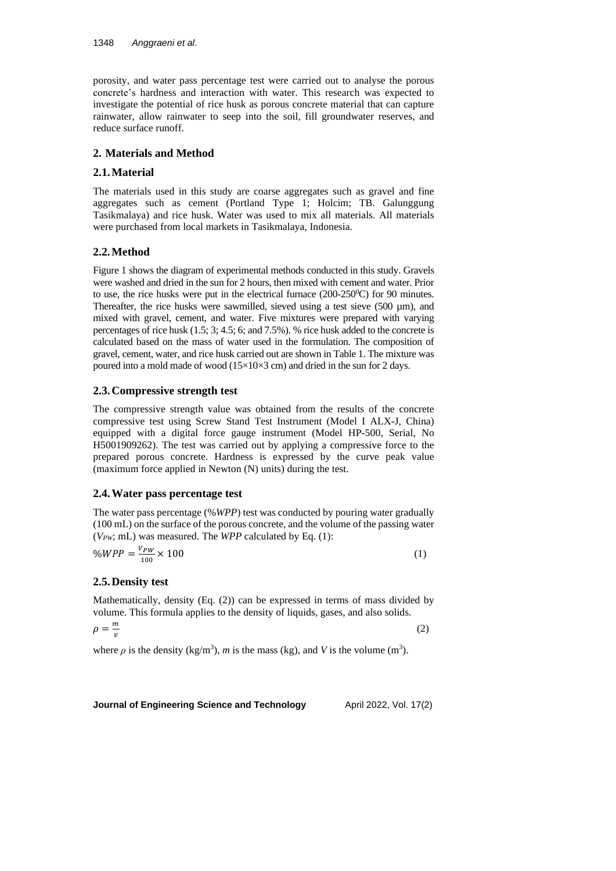porosity, and water pass percentage test were carried out to analyse the porous concrete's hardness and interaction with water. This research was expected to investigate the potential of rice husk as porous concrete material that can capture rainwater, allow rainwater to seep into the soil, fill groundwater reserves, and reduce surface runoff.

### **2. Materials and Method**

## **2.1.Material**

The materials used in this study are coarse aggregates such as gravel and fine aggregates such as cement (Portland Type 1; Holcim; TB. Galunggung Tasikmalaya) and rice husk. Water was used to mix all materials. All materials were purchased from local markets in Tasikmalaya, Indonesia.

# **2.2.Method**

Figure 1 shows the diagram of experimental methods conducted in this study. Gravels were washed and dried in the sun for 2 hours, then mixed with cement and water. Prior to use, the rice husks were put in the electrical furnace  $(200-250^{\circ}\text{C})$  for 90 minutes. Thereafter, the rice husks were sawmilled, sieved using a test sieve  $(500 \mu m)$ , and mixed with gravel, cement, and water. Five mixtures were prepared with varying percentages of rice husk (1.5; 3; 4.5; 6; and 7.5%). % rice husk added to the concrete is calculated based on the mass of water used in the formulation. The composition of gravel, cement, water, and rice husk carried out are shown in Table 1. The mixture was poured into a mold made of wood (15×10×3 cm) and dried in the sun for 2 days.

## **2.3.Compressive strength test**

The compressive strength value was obtained from the results of the concrete compressive test using Screw Stand Test Instrument (Model I ALX-J, China) equipped with a digital force gauge instrument (Model HP-500, Serial, No H5001909262). The test was carried out by applying a compressive force to the prepared porous concrete. Hardness is expressed by the curve peak value (maximum force applied in Newton (N) units) during the test.

### **2.4.Water pass percentage test**

The water pass percentage (%*WPP*) test was conducted by pouring water gradually (100 mL) on the surface of the porous concrete, and the volume of the passing water (*VPW*; mL) was measured. The *WPP* calculated by Eq. (1):

$$
\%WPP = \frac{V_{PW}}{100} \times 100\tag{1}
$$

# **2.5.Density test**

Mathematically, density (Eq. (2)) can be expressed in terms of mass divided by volume. This formula applies to the density of liquids, gases, and also solids.

$$
\rho = \frac{m}{v} \tag{2}
$$

where  $\rho$  is the density (kg/m<sup>3</sup>), *m* is the mass (kg), and *V* is the volume (m<sup>3</sup>).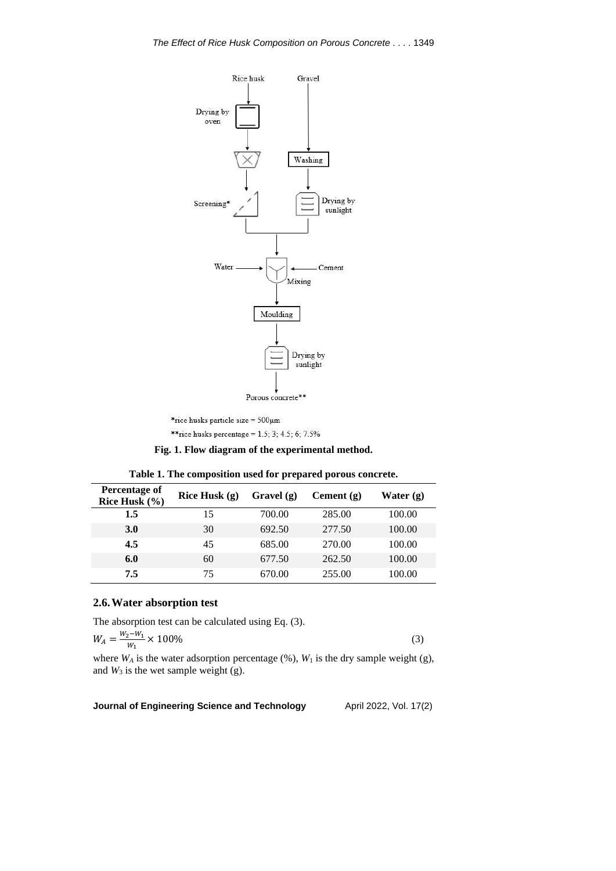

\*rice husks particle size =  $500 \mu m$ \*\* rice husks percentage =  $1.5$ ; 3; 4.5; 6; 7.5%

**Fig. 1. Flow diagram of the experimental method.**

| Percentage of<br>Rice Husk $(\% )$ | Rice Husk $(g)$ | Gravel $(g)$ | Cement $(g)$ | Water $(g)$ |
|------------------------------------|-----------------|--------------|--------------|-------------|
| 1.5                                | 15              | 700.00       | 285.00       | 100.00      |
| <b>3.0</b>                         | 30              | 692.50       | 277.50       | 100.00      |
| 4.5                                | 45              | 685.00       | 270.00       | 100.00      |
| 6.0                                | 60              | 677.50       | 262.50       | 100.00      |
| 7.5                                | 75              | 670.00       | 255.00       | 100.00      |

**Table 1. The composition used for prepared porous concrete.**

# **2.6.Water absorption test**

The absorption test can be calculated using Eq. (3).

$$
W_A = \frac{W_2 - W_1}{W_1} \times 100\%
$$
\n(3)

where  $W_A$  is the water adsorption percentage  $(\%)$ ,  $W_1$  is the dry sample weight (g), and  $W_3$  is the wet sample weight (g).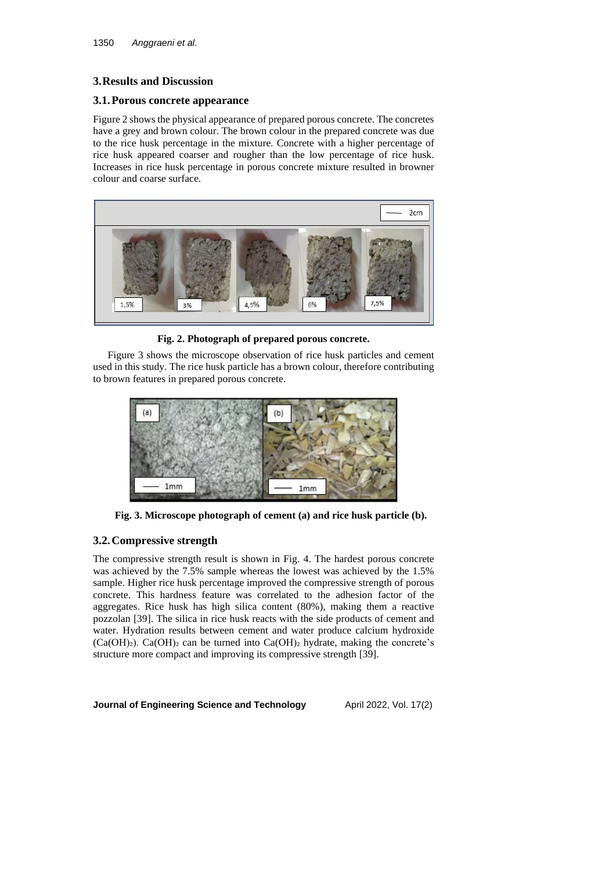### **3.Results and Discussion**

### **3.1.Porous concrete appearance**

Figure 2 shows the physical appearance of prepared porous concrete. The concretes have a grey and brown colour. The brown colour in the prepared concrete was due to the rice husk percentage in the mixture. Concrete with a higher percentage of rice husk appeared coarser and rougher than the low percentage of rice husk. Increases in rice husk percentage in porous concrete mixture resulted in browner colour and coarse surface.



**Fig. 2. Photograph of prepared porous concrete.**

Figure 3 shows the microscope observation of rice husk particles and cement used in this study. The rice husk particle has a brown colour, therefore contributing to brown features in prepared porous concrete.



**Fig. 3. Microscope photograph of cement (a) and rice husk particle (b).**

# **3.2.Compressive strength**

The compressive strength result is shown in Fig. 4. The hardest porous concrete was achieved by the 7.5% sample whereas the lowest was achieved by the 1.5% sample. Higher rice husk percentage improved the compressive strength of porous concrete. This hardness feature was correlated to the adhesion factor of the aggregates. Rice husk has high silica content (80%), making them a reactive pozzolan [39]. The silica in rice husk reacts with the side products of cement and water. Hydration results between cement and water produce calcium hydroxide  $(Ca(OH)_2)$ . Ca(OH)<sub>2</sub> can be turned into Ca(OH)<sub>2</sub> hydrate, making the concrete's structure more compact and improving its compressive strength [39].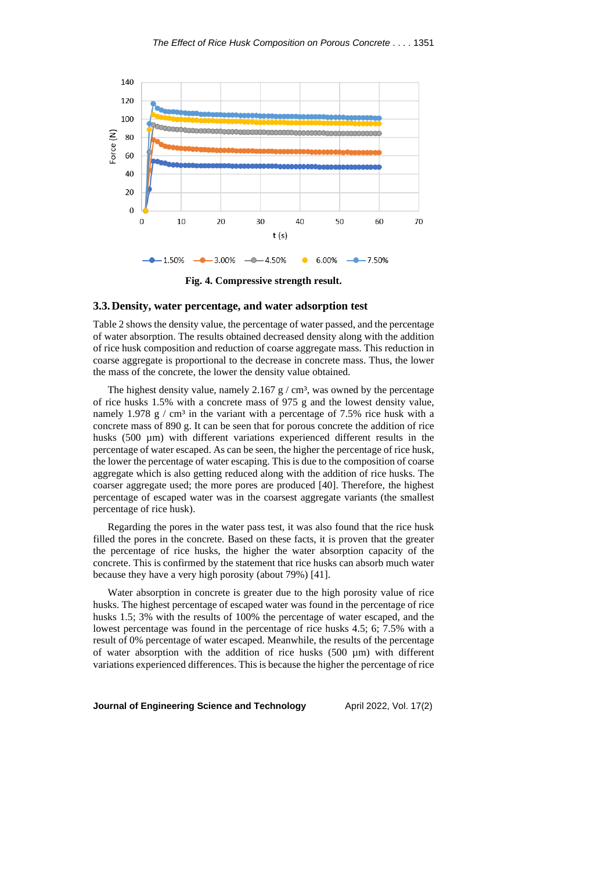

**Fig. 4. Compressive strength result.**

#### **3.3.Density, water percentage, and water adsorption test**

Table 2 shows the density value, the percentage of water passed, and the percentage of water absorption. The results obtained decreased density along with the addition of rice husk composition and reduction of coarse aggregate mass. This reduction in coarse aggregate is proportional to the decrease in concrete mass. Thus, the lower the mass of the concrete, the lower the density value obtained.

The highest density value, namely  $2.167$  g / cm<sup>3</sup>, was owned by the percentage of rice husks 1.5% with a concrete mass of 975 g and the lowest density value, namely 1.978 g / cm<sup>3</sup> in the variant with a percentage of 7.5% rice husk with a concrete mass of 890 g. It can be seen that for porous concrete the addition of rice husks (500  $\mu$ m) with different variations experienced different results in the percentage of water escaped. As can be seen, the higher the percentage of rice husk, the lower the percentage of water escaping. This is due to the composition of coarse aggregate which is also getting reduced along with the addition of rice husks. The coarser aggregate used; the more pores are produced [40]. Therefore, the highest percentage of escaped water was in the coarsest aggregate variants (the smallest percentage of rice husk).

Regarding the pores in the water pass test, it was also found that the rice husk filled the pores in the concrete. Based on these facts, it is proven that the greater the percentage of rice husks, the higher the water absorption capacity of the concrete. This is confirmed by the statement that rice husks can absorb much water because they have a very high porosity (about 79%) [41].

Water absorption in concrete is greater due to the high porosity value of rice husks. The highest percentage of escaped water was found in the percentage of rice husks 1.5; 3% with the results of 100% the percentage of water escaped, and the lowest percentage was found in the percentage of rice husks 4.5; 6; 7.5% with a result of 0% percentage of water escaped. Meanwhile, the results of the percentage of water absorption with the addition of rice husks  $(500 \mu m)$  with different variations experienced differences. This is because the higher the percentage of rice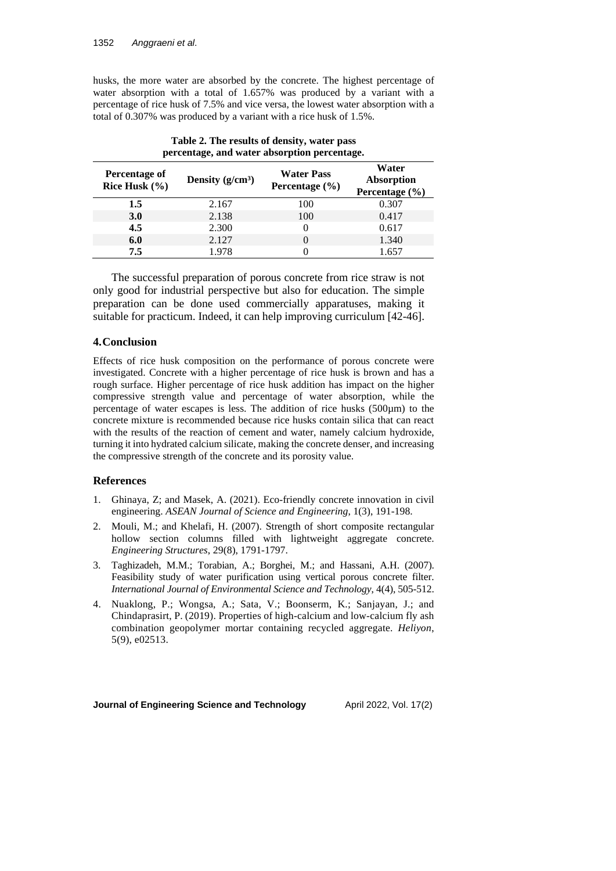husks, the more water are absorbed by the concrete. The highest percentage of water absorption with a total of 1.657% was produced by a variant with a percentage of rice husk of 7.5% and vice versa, the lowest water absorption with a total of 0.307% was produced by a variant with a rice husk of 1.5%.

| percentage, and water absorption percentage. |                    |                                         |                                           |  |  |
|----------------------------------------------|--------------------|-----------------------------------------|-------------------------------------------|--|--|
| Percentage of<br>Rice Husk $(\% )$           | Density $(g/cm^3)$ | <b>Water Pass</b><br>Percentage $(\% )$ | Water<br>Absorption<br>Percentage $(\% )$ |  |  |
| 1.5                                          | 2.167              | 100                                     | 0.307                                     |  |  |
| <b>3.0</b>                                   | 2.138              | 100                                     | 0.417                                     |  |  |
| 4.5                                          | 2.300              | 0                                       | 0.617                                     |  |  |
| 6.0                                          | 2.127              | $\Omega$                                | 1.340                                     |  |  |
| 7.5                                          | 1.978              |                                         | 1.657                                     |  |  |

| Table 2. The results of density, water pass  |  |
|----------------------------------------------|--|
| percentage, and water absorption percentage. |  |

The successful preparation of porous concrete from rice straw is not only good for industrial perspective but also for education. The simple preparation can be done used commercially apparatuses, making it suitable for practicum. Indeed, it can help improving curriculum [42-46].

## **4.Conclusion**

Effects of rice husk composition on the performance of porous concrete were investigated. Concrete with a higher percentage of rice husk is brown and has a rough surface. Higher percentage of rice husk addition has impact on the higher compressive strength value and percentage of water absorption, while the percentage of water escapes is less. The addition of rice husks  $(500\mu m)$  to the concrete mixture is recommended because rice husks contain silica that can react with the results of the reaction of cement and water, namely calcium hydroxide, turning it into hydrated calcium silicate, making the concrete denser, and increasing the compressive strength of the concrete and its porosity value.

### **References**

- 1. Ghinaya, Z; and Masek, A. (2021). Eco-friendly concrete innovation in civil engineering. *ASEAN Journal of Science and Engineering*, 1(3), 191-198.
- 2. Mouli, M.; and Khelafi, H. (2007). Strength of short composite rectangular hollow section columns filled with lightweight aggregate concrete. *Engineering Structures*, 29(8), 1791-1797.
- 3. Taghizadeh, M.M.; Torabian, A.; Borghei, M.; and Hassani, A.H. (2007). Feasibility study of water purification using vertical porous concrete filter. *International Journal of Environmental Science and Technology*, 4(4), 505-512.
- 4. Nuaklong, P.; Wongsa, A.; Sata, V.; Boonserm, K.; Sanjayan, J.; and Chindaprasirt, P. (2019). Properties of high-calcium and low-calcium fly ash combination geopolymer mortar containing recycled aggregate. *Heliyon*, 5(9), e02513.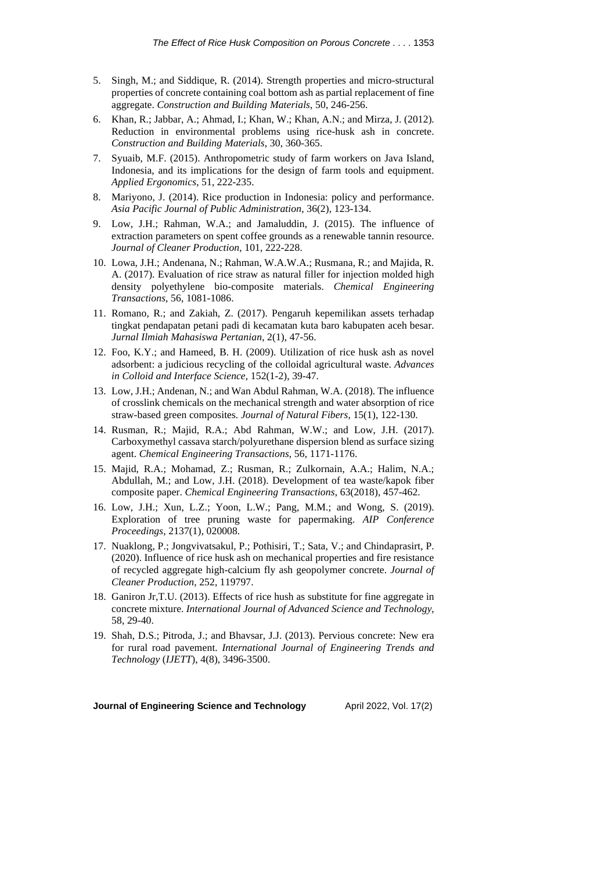- 5. Singh, M.; and Siddique, R. (2014). Strength properties and micro-structural properties of concrete containing coal bottom ash as partial replacement of fine aggregate. *Construction and Building Materials*, 50, 246-256.
- 6. Khan, R.; Jabbar, A.; Ahmad, I.; Khan, W.; Khan, A.N.; and Mirza, J. (2012). Reduction in environmental problems using rice-husk ash in concrete. *Construction and Building Materials*, 30, 360-365.
- 7. Syuaib, M.F. (2015). Anthropometric study of farm workers on Java Island, Indonesia, and its implications for the design of farm tools and equipment. *Applied Ergonomics*, 51, 222-235.
- 8. Mariyono, J. (2014). Rice production in Indonesia: policy and performance. *Asia Pacific Journal of Public Administration*, 36(2), 123-134.
- 9. Low, J.H.; Rahman, W.A.; and Jamaluddin, J. (2015). The influence of extraction parameters on spent coffee grounds as a renewable tannin resource. *Journal of Cleaner Production*, 101, 222-228.
- 10. Lowa, J.H.; Andenana, N.; Rahman, W.A.W.A.; Rusmana, R.; and Majida, R. A. (2017). Evaluation of rice straw as natural filler for injection molded high density polyethylene bio-composite materials. *Chemical Engineering Transactions*, 56, 1081-1086.
- 11. Romano, R.; and Zakiah, Z. (2017). Pengaruh kepemilikan assets terhadap tingkat pendapatan petani padi di kecamatan kuta baro kabupaten aceh besar. *Jurnal Ilmiah Mahasiswa Pertanian*, 2(1), 47-56.
- 12. Foo, K.Y.; and Hameed, B. H. (2009). Utilization of rice husk ash as novel adsorbent: a judicious recycling of the colloidal agricultural waste. *Advances in Colloid and Interface Science*, 152(1-2), 39-47.
- 13. Low, J.H.; Andenan, N.; and Wan Abdul Rahman, W.A. (2018). The influence of crosslink chemicals on the mechanical strength and water absorption of rice straw-based green composites. *Journal of Natural Fibers*, 15(1), 122-130.
- 14. Rusman, R.; Majid, R.A.; Abd Rahman, W.W.; and Low, J.H. (2017). Carboxymethyl cassava starch/polyurethane dispersion blend as surface sizing agent. *Chemical Engineering Transactions*, 56, 1171-1176.
- 15. Majid, R.A.; Mohamad, Z.; Rusman, R.; Zulkornain, A.A.; Halim, N.A.; Abdullah, M.; and Low, J.H. (2018). Development of tea waste/kapok fiber composite paper. *Chemical Engineering Transactions*, 63(2018), 457-462.
- 16. Low, J.H.; Xun, L.Z.; Yoon, L.W.; Pang, M.M.; and Wong, S. (2019). Exploration of tree pruning waste for papermaking. *AIP Conference Proceedings*, 2137(1), 020008.
- 17. Nuaklong, P.; Jongvivatsakul, P.; Pothisiri, T.; Sata, V.; and Chindaprasirt, P. (2020). Influence of rice husk ash on mechanical properties and fire resistance of recycled aggregate high-calcium fly ash geopolymer concrete. *Journal of Cleaner Production*, 252, 119797.
- 18. Ganiron Jr,T.U. (2013). Effects of rice hush as substitute for fine aggregate in concrete mixture. *International Journal of Advanced Science and Technology*, 58, 29-40.
- 19. Shah, D.S.; Pitroda, J.; and Bhavsar, J.J. (2013). Pervious concrete: New era for rural road pavement. *International Journal of Engineering Trends and Technology* (*IJETT*), 4(8), 3496-3500.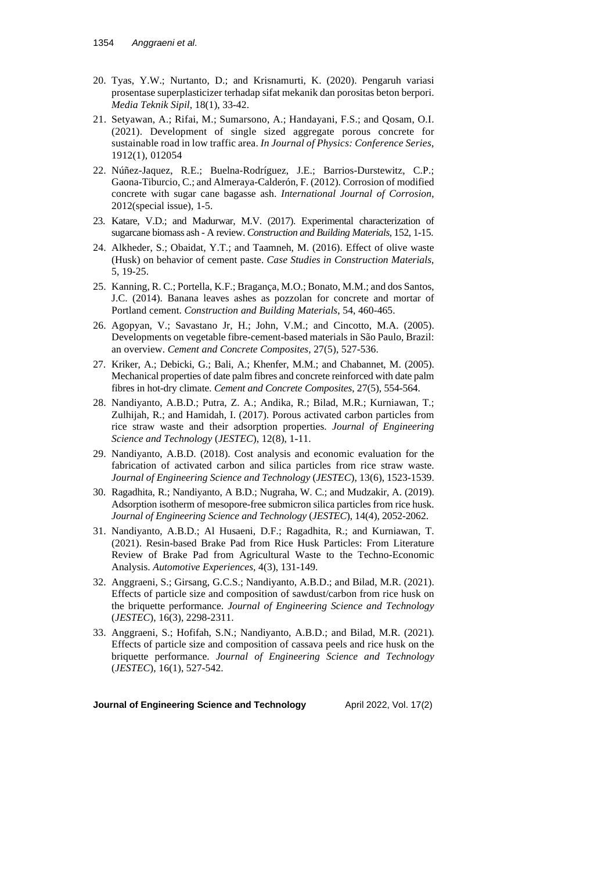- 20. Tyas, Y.W.; Nurtanto, D.; and Krisnamurti, K. (2020). Pengaruh variasi prosentase superplasticizer terhadap sifat mekanik dan porositas beton berpori. *Media Teknik Sipil*, 18(1), 33-42.
- 21. Setyawan, A.; Rifai, M.; Sumarsono, A.; Handayani, F.S.; and Qosam, O.I. (2021). Development of single sized aggregate porous concrete for sustainable road in low traffic area. *In Journal of Physics: Conference Series*, 1912(1), 012054
- 22. Núñez-Jaquez, R.E.; Buelna-Rodríguez, J.E.; Barrios-Durstewitz, C.P.; Gaona-Tiburcio, C.; and Almeraya-Calderón, F. (2012). Corrosion of modified concrete with sugar cane bagasse ash. *International Journal of Corrosion*, 2012(special issue), 1-5.
- 23. Katare, V.D.; and Madurwar, M.V. (2017). Experimental characterization of sugarcane biomass ash - A review. *Construction and Building Materials*, 152, 1-15.
- 24. Alkheder, S.; Obaidat, Y.T.; and Taamneh, M. (2016). Effect of olive waste (Husk) on behavior of cement paste. *Case Studies in Construction Materials*, 5, 19-25.
- 25. Kanning, R. C.; Portella, K.F.; Bragança, M.O.; Bonato, M.M.; and dos Santos, J.C. (2014). Banana leaves ashes as pozzolan for concrete and mortar of Portland cement. *Construction and Building Materials*, 54, 460-465.
- 26. Agopyan, V.; Savastano Jr, H.; John, V.M.; and Cincotto, M.A. (2005). Developments on vegetable fibre-cement-based materials in São Paulo, Brazil: an overview. *Cement and Concrete Composites*, 27(5), 527-536.
- 27. Kriker, A.; Debicki, G.; Bali, A.; Khenfer, M.M.; and Chabannet, M. (2005). Mechanical properties of date palm fibres and concrete reinforced with date palm fibres in hot-dry climate. *Cement and Concrete Composites*, 27(5), 554-564.
- 28. Nandiyanto, A.B.D.; Putra, Z. A.; Andika, R.; Bilad, M.R.; Kurniawan, T.; Zulhijah, R.; and Hamidah, I. (2017). Porous activated carbon particles from rice straw waste and their adsorption properties. *Journal of Engineering Science and Technology* (*JESTEC*), 12(8), 1-11.
- 29. Nandiyanto, A.B.D. (2018). Cost analysis and economic evaluation for the fabrication of activated carbon and silica particles from rice straw waste. *Journal of Engineering Science and Technology* (*JESTEC*), 13(6), 1523-1539.
- 30. Ragadhita, R.; Nandiyanto, A B.D.; Nugraha, W. C.; and Mudzakir, A. (2019). Adsorption isotherm of mesopore-free submicron silica particles from rice husk. *Journal of Engineering Science and Technology* (*JESTEC*), 14(4), 2052-2062.
- 31. Nandiyanto, A.B.D.; Al Husaeni, D.F.; Ragadhita, R.; and Kurniawan, T. (2021). Resin-based Brake Pad from Rice Husk Particles: From Literature Review of Brake Pad from Agricultural Waste to the Techno-Economic Analysis. *Automotive Experiences*, 4(3), 131-149.
- 32. Anggraeni, S.; Girsang, G.C.S.; Nandiyanto, A.B.D.; and Bilad, M.R. (2021). Effects of particle size and composition of sawdust/carbon from rice husk on the briquette performance. *Journal of Engineering Science and Technology* (*JESTEC*), 16(3), 2298-2311.
- 33. Anggraeni, S.; Hofifah, S.N.; Nandiyanto, A.B.D.; and Bilad, M.R. (2021). Effects of particle size and composition of cassava peels and rice husk on the briquette performance. *Journal of Engineering Science and Technology* (*JESTEC*), 16(1), 527-542.